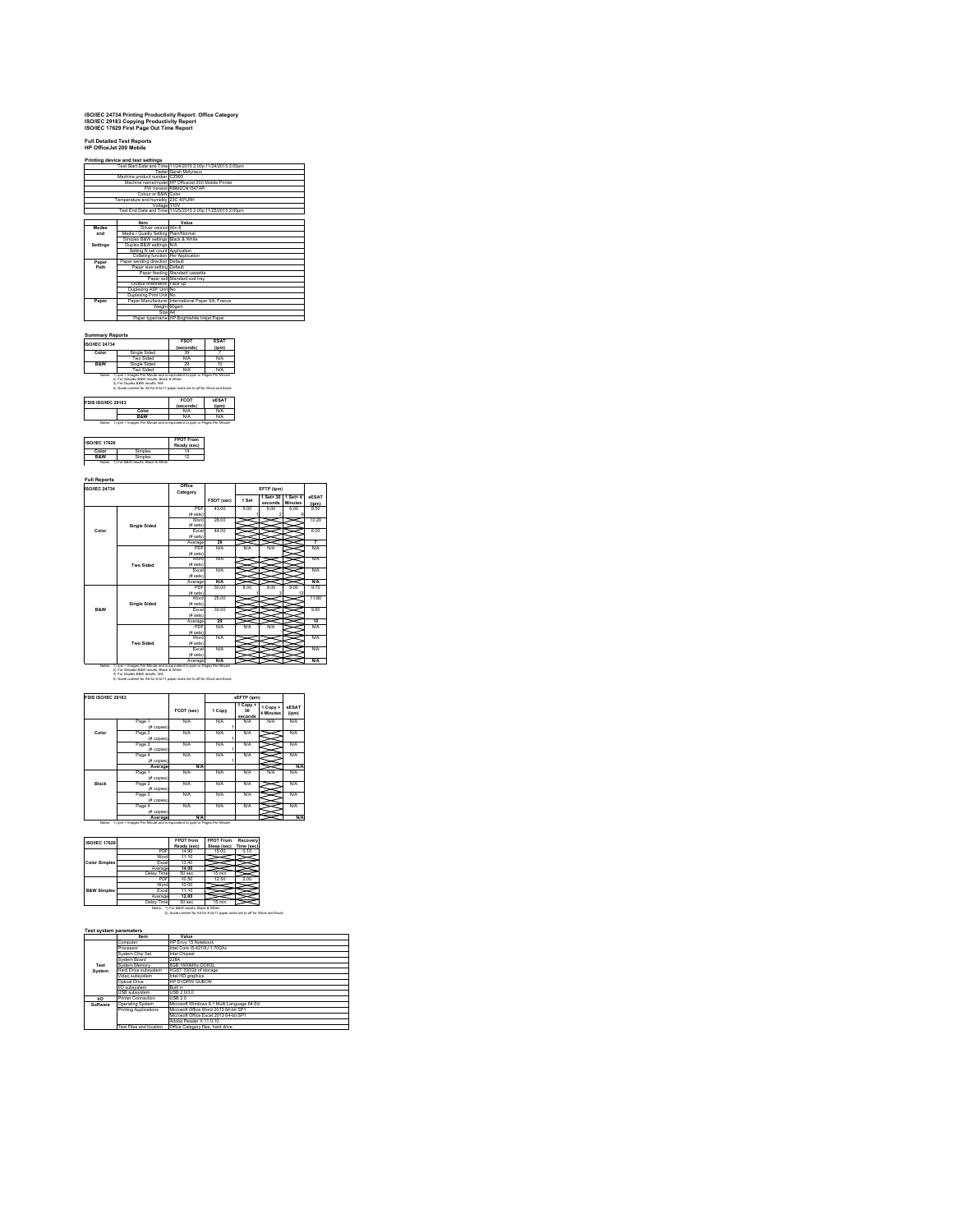# **ISO/IEC 24734 Printing Productivity Report: Office Category ISO/IEC 29183 Copying Productivity Report ISO/IEC 17629 First Page Out Time Report**

**Full Detailed Test Reports HP OfficeJet 200 Mobile Printing device and test settings**

|          |                                      | Test Start Date and Time 11/24/2015 2:00p 11/24/2015 2:00pm |
|----------|--------------------------------------|-------------------------------------------------------------|
|          |                                      | <b>Tester Sarah Molyneux</b>                                |
|          | Machine product number CZ993         |                                                             |
|          |                                      | Machine name/model HP OfficeJet 200 Mobile Printer          |
|          |                                      | FW Version RBM2CN1547AR                                     |
|          | Colour or B&W Color                  |                                                             |
|          | Temperature and humidity 23C 40%RH   |                                                             |
|          | Voltage 110V                         |                                                             |
|          |                                      | Test End Date and Time 11/25/2015 2:00p 11/25/2015 2:00pm   |
|          |                                      |                                                             |
|          | Item                                 | Value                                                       |
| Modes    | Driver version Win 8                 |                                                             |
| and      | Media / Quality Setting Plain/Normal |                                                             |
|          | Simplex B&W settings Black & White   |                                                             |
| Settings | Duplex B&W settings N/A              |                                                             |
|          | Setting N set count Application      |                                                             |
|          | Collating function Per Application   |                                                             |
| Paper    | Paper sending direction Default      |                                                             |
| Path     | Paper size setting Default           |                                                             |
|          |                                      | Paper feeding Standard cassette                             |
|          |                                      | Paper exit Standard exit trav                               |
|          | Output orientation Face up           |                                                             |
|          | Duplexing ADF Unit No                |                                                             |
|          | Duplexing Print Unit No              |                                                             |
| Paper    |                                      | Paper Manufacturer International Paper SA. France           |
|          | Weight 90gsm                         |                                                             |
|          | Size A4                              |                                                             |
|          |                                      | Paper type/name HP Brightwhite Inkiet Paper                 |

| <b>ISO/JEC 24734</b> |                                                                                                                             | <b>FSOT</b><br>(seconds) | ESA1<br>$($ ipm $)$ |  |
|----------------------|-----------------------------------------------------------------------------------------------------------------------------|--------------------------|---------------------|--|
| Color                | Single Sided                                                                                                                | 39                       |                     |  |
|                      | Two Sided                                                                                                                   | N/A                      | N/A                 |  |
| <b>R&amp;W</b>       | Single Sided                                                                                                                | 29                       | 10                  |  |
|                      | Two Sided                                                                                                                   | N/A                      | N/A                 |  |
|                      | Notes: 1) jon = Images Per Minute and is equivelent to pom or Pages Per Minute<br>2) For Simplex B&W results, Black & White |                          |                     |  |
| FDIS ISO/IEC 29183   | 3) For Duplex B&W results, N/A<br>4) Scale content for A4 for 8.5x11 paper sizes set to off for Word and Excel              | <b>FCOT</b>              | <b>sESAT</b>        |  |
|                      | Color                                                                                                                       | (seconds)<br>N/A         | (ipm)<br>N/A        |  |

| <b>ISO/IEC 17629</b> |                | <b>FPOT From</b><br>Ready (sec) |
|----------------------|----------------|---------------------------------|
| Color                | <b>Simplex</b> |                                 |
| <b>R&amp;W</b>       | ümnlex         |                                 |

**Full Reports**

| <b>ISO/IEC 24734</b> |                                                                         | Office<br>Category |            |       | EFTP (ipm) |                |              |
|----------------------|-------------------------------------------------------------------------|--------------------|------------|-------|------------|----------------|--------------|
|                      |                                                                         |                    |            | 1 Set | 1 Set+ 30  | $1$ Set+ $4$   | <b>sESAT</b> |
|                      |                                                                         |                    | FSOT (sec) |       | seconds    | <b>Minutes</b> | (jpm)        |
|                      |                                                                         | PDE                | 43.00      | 5.00  | 6.00       | 6.00           | 6.50         |
|                      |                                                                         | (# sets)           |            |       |            | ٩              |              |
|                      |                                                                         | Word               | 28.00      |       |            |                | 10.20        |
|                      | <b>Single Sided</b>                                                     | (# sets)           |            |       |            |                |              |
| Color                |                                                                         | Excel              | 44 M       |       |            |                | 6.00         |
|                      |                                                                         | (# sets)           |            |       |            |                |              |
|                      |                                                                         | Average            | 39         |       |            |                | 7            |
|                      |                                                                         | PDF                | N/A        | N/A   | N/A        |                | <b>N/A</b>   |
|                      |                                                                         | (# sets)           |            |       |            |                |              |
|                      |                                                                         | Word               | N/A        |       |            |                | <b>N/A</b>   |
|                      | <b>Two Sided</b>                                                        | (# sets)           |            |       |            |                |              |
|                      |                                                                         | <b>Fxnel</b>       | N/A        |       |            |                | <b>N/A</b>   |
|                      |                                                                         | (# sets)           |            |       |            |                |              |
|                      |                                                                         | Average            | $N/\Delta$ |       |            |                | N/A          |
|                      |                                                                         | PDF                | 30.00      | 8.00  | 9.00       | 9.00           | 9.70         |
|                      |                                                                         | (# sets)           |            |       |            | 12             |              |
|                      |                                                                         | Word               | 25.00      |       |            |                | 11.80        |
|                      | <b>Single Sided</b>                                                     | (# sets)           |            |       |            |                |              |
| <b>R&amp;W</b>       |                                                                         | Excel              | 30.00      |       |            |                | 9.60         |
|                      |                                                                         | (# sets)           |            |       |            |                |              |
|                      |                                                                         | Average            | 29         |       |            |                | 10           |
|                      |                                                                         | PDF                | N/A        | N/A   | <b>N/A</b> |                | <b>N/A</b>   |
|                      |                                                                         | (# sets)           |            |       |            |                |              |
|                      |                                                                         | Word               | N/A        |       |            |                | <b>N/A</b>   |
|                      | <b>Two Sided</b>                                                        | (# sets)           |            |       |            |                |              |
|                      |                                                                         | <b>Fxnel</b>       | N/A        |       |            |                | <b>N/A</b>   |
|                      |                                                                         | (# sets)           |            |       |            |                |              |
|                      | 1) jom = Images Per Minute and is equivalent to pom or Pages Per Minute | Average            | $N/\Delta$ |       |            |                | N/A          |

| FDIS ISO/IEC 29183 |                      |            |        | sEFTP (ipm)                            |                       |                       |
|--------------------|----------------------|------------|--------|----------------------------------------|-----------------------|-----------------------|
|                    |                      | FCOT (sec) | 1 Copy | 1 Copy +<br>30 <sub>0</sub><br>seconds | 1 Copy +<br>4 Minutes | <b>sESAT</b><br>(ipm) |
|                    | Page 1<br>(# copies) | N/A        | N/A    | N/A                                    | N/A                   | N/A                   |
| Color              | Page 2<br>(# copies) | N/A        | N/A    | N/A                                    |                       | N/A                   |
|                    | Page 3<br>(# copies) | N/A        | N/A    | N/A                                    |                       | N/A                   |
|                    | Page 4<br>(# copies) | N/A        | N/A    | N/A                                    |                       | N/A                   |
|                    | Average              | <b>N/A</b> |        |                                        |                       | N/A                   |
|                    | Page 1<br>(# copies) | N/A        | N/A    | N/A                                    | N/A                   | N/A                   |
| Black              | Page 2<br>(# copies) | N/A        | N/A    | N/A                                    |                       | N/A                   |
|                    | Page 3<br>(# copies) | N/A        | N/A    | N/A                                    |                       | <b>N/A</b>            |
|                    | Page 4<br>(# copies) | N/A        | N/A    | N/A                                    |                       | N/A                   |
|                    | Average              | <b>N/A</b> |        |                                        |                       | N/A                   |

| <b>ISO/IEC 17629</b>   |            | <b>FPOT</b> from | <b>FPOT From</b> | Recovery   |
|------------------------|------------|------------------|------------------|------------|
|                        |            | Ready (sec)      | Sleep (sec)      | Time (sec) |
|                        | PDF        | 14.90            | 15.00            | 0.10       |
|                        | Word       | 11.10            |                  |            |
| <b>Color Simplex</b>   | Excel      | 13.40            |                  |            |
|                        | Average    | 14.00            |                  |            |
|                        | Delay Time | 50 sec           | 15 min           |            |
|                        | <b>PDE</b> | 10.50            | 12.50            | 2.00       |
|                        | Word       | 10.00            |                  |            |
| <b>B&amp;W Simplex</b> | Excel      | 11.10            |                  |            |
|                        | Average    | 12.00            |                  |            |
|                        | Delay Time | 50 sec           | 15 min           |            |

Delay Time 50 sec 15 min<br>Notes: 1) For B&W results, Black & White<br>2) Scale content for A4 for 8.5x11 paper sizes set to off for Word and Excel

|          | <b>Item</b>             | Value                                      |
|----------|-------------------------|--------------------------------------------|
|          | Computer                | HP Envy 15 Notebook                        |
|          | Processor               | Intel Core 15-4210U 1.70Ghz                |
|          | System Chip Set         | Intel Chipset                              |
|          | System Roard            | <b>228A</b>                                |
| Test     | System Memory           | 8GB 1600MHz DDR3L                          |
| System   | Hard Drive subsystem    | HGST 700Gb of storage                      |
|          | Video subsystem         | Intel HD graphics                          |
|          | Ontical Drive           | HP DVDRW GURON                             |
|          | I/O subsystem           | <b>Built in</b>                            |
|          | <b>USB subsystem</b>    | <b>USB 2030</b>                            |
| w        | Printer Connection      | <b>USB 2.0</b>                             |
| Software | <b>Operating System</b> | Microsoft Windows 8.1 Multi Language 64 Ed |
|          | Printing Applications   | Microsoft Office Word 2013 64-bit SP1      |
|          |                         | Microsoft Office Excel 2013 64-bit SP1     |
|          |                         | Adobe Reader X 11.0.10                     |
|          | Test Files and location | Office Category files, hard drive          |